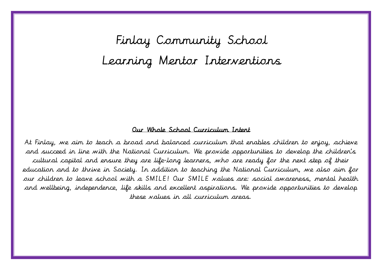Finlay Community School Learning Mentor Interventions

#### Our Whole School Curriculum Intent

At Finlay, we aim to teach a broad and balanced curriculum that enables children to enjoy, achieve and succeed in line with the National Curriculum. We provide opportunities to develop the children's cultural capital and ensure they are life-long learners, who are ready for the next step of their education and to thrive in Society. In addition to teaching the National Curriculum, we also aim for our children to leave school with a SMILE! Our SMILE values are: social awareness, mental health and wellbeing, independence, life skills and excellent aspirations. We provide opportunities to develop these values in all curriculum areas.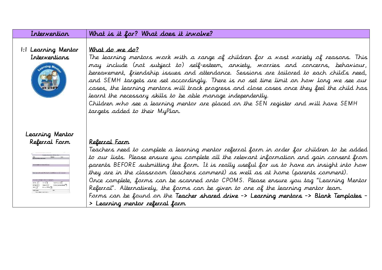| Intervention                         | What is it for? What does it involve?                                                                                                                                                                                                                                                                                                                                                                                                                                                                                                                                                                                                                                                                                  |
|--------------------------------------|------------------------------------------------------------------------------------------------------------------------------------------------------------------------------------------------------------------------------------------------------------------------------------------------------------------------------------------------------------------------------------------------------------------------------------------------------------------------------------------------------------------------------------------------------------------------------------------------------------------------------------------------------------------------------------------------------------------------|
| 1:1 Learning Mentor<br>Interventions | What do we do?<br>The learning mentors work with a range of children for a vast variety of reasons. This<br>may include (not subject to) self-esteem, anxiety, warries and concerns, behaviour,<br>bereavement, friendship issues and attendance. Sessions are tailored to each child's need,<br>and SEMH targets are set accordingly. There is no set time limit on how long we see our<br>cases, the learning mentors will track progress and close cases once they feel the child has<br>learnt the necessary skills to be able manage independently.<br>Children who see a learning mentor are placed on the SEN register and will have SEMH<br>targets added to their MyPlan.                                     |
| Learning Mentor<br>Referral Form     | <u>Referral Form</u><br>Teachers need to complete a learning mentor referral form in order for children to be added<br>to our lists. Please ensure you complete all the relevant information and gain consent from<br>parents BEFORE submitting the form. It is really useful for us to have an insight into how<br>they are in the classroom (teachers comment) as well as at home (parents comment).<br>Once complete, forms can be scanned onto CPOMS. Please ensure you tag "Learning Mentor<br>Referral". Alternatively, the forms can be given to one of the learning mentor team.<br>Forms can be found on the Teacher shared drive -> Learning mentors -> Blank Templates -<br>> Learning mentor referral form |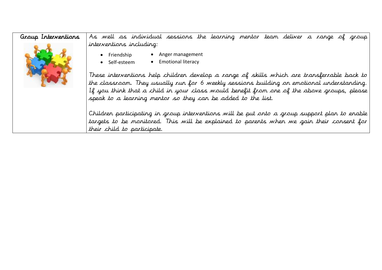Group Interventions ï R As well as individual sessions the learning mentor team deliver a range of group interventions including:

- Friendship Anger management
- Self-esteem • Emotional literacy

D

L

These interventions help children develop a range of skills which are transferrable back to the classroom. They usually run for 6 weekly sessions building on emotional understanding. If you think that a child in your class would benefit from one of the above groups, please speak to a learning mentor so they can be added to the list.

Children participating in group interventions will be put onto a group support plan to enable targets to be monitored. This will be explained to parents when we gain their consent for their child to participate.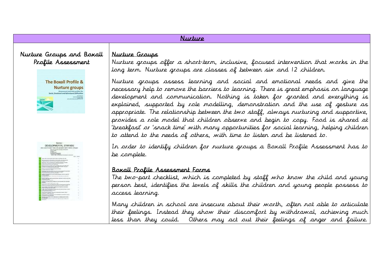## Nurture

## Nurture Groups and Boxall Profile Assessment



# Nurture groups offer a short-term, inclusive, focused intervention that works in the long term. Nurture groups are classes of between six and 12 children.

Nurture groups assess learning and social and emotional needs and give the necessary help to remove the barriers to learning. There is great emphasis on language development and communication. Nothing is taken for granted and everything is explained, supported by role modelling, demonstration and the use of gesture as appropriate. The relationship between the two staff, always nurturing and supportive, provides a role model that children observe and begin to copy. Food is shared at 'breakfast' or 'snack time' with many opportunities for social learning, helping children to attend to the needs of others, with time to listen and be listened to.

In order to identify children for nurture groups a Boxall Profile Assessment has to be complete.

### Boxall Profile Assessment Forms

Nurture Groups

The two-part checklist, which is completed by staff who know the child and young person best, identifies the levels of skills the children and young people possess to access learning.

Many children in school are insecure about their worth, often not able to articulate their feelings. Instead they show their discomfort by withdrawal, achieving much less than they could. Others may act out their feelings of anger and failure.